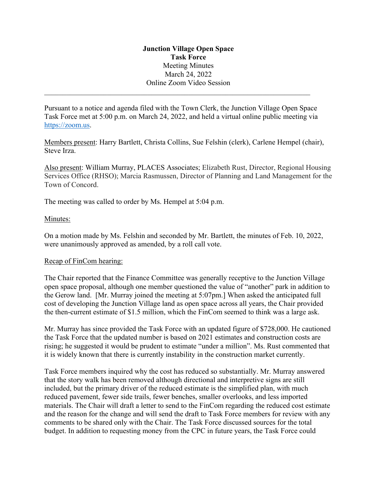# **Junction Village Open Space Task Force**  Meeting Minutes March 24, 2022 Online Zoom Video Session

Pursuant to a notice and agenda filed with the Town Clerk, the Junction Village Open Space Task Force met at 5:00 p.m. on March 24, 2022, and held a virtual online public meeting via https://zoom.us.

Members present: Harry Bartlett, Christa Collins, Sue Felshin (clerk), Carlene Hempel (chair), Steve Irza.

Also present: William Murray, PLACES Associates; Elizabeth Rust, Director, Regional Housing Services Office (RHSO); Marcia Rasmussen, Director of Planning and Land Management for the Town of Concord.

The meeting was called to order by Ms. Hempel at 5:04 p.m.

### Minutes:

On a motion made by Ms. Felshin and seconded by Mr. Bartlett, the minutes of Feb. 10, 2022, were unanimously approved as amended, by a roll call vote.

#### Recap of FinCom hearing:

The Chair reported that the Finance Committee was generally receptive to the Junction Village open space proposal, although one member questioned the value of "another" park in addition to the Gerow land. [Mr. Murray joined the meeting at 5:07pm.] When asked the anticipated full cost of developing the Junction Village land as open space across all years, the Chair provided the then-current estimate of \$1.5 million, which the FinCom seemed to think was a large ask.

Mr. Murray has since provided the Task Force with an updated figure of \$728,000. He cautioned the Task Force that the updated number is based on 2021 estimates and construction costs are rising; he suggested it would be prudent to estimate "under a million". Ms. Rust commented that it is widely known that there is currently instability in the construction market currently.

Task Force members inquired why the cost has reduced so substantially. Mr. Murray answered that the story walk has been removed although directional and interpretive signs are still included, but the primary driver of the reduced estimate is the simplified plan, with much reduced pavement, fewer side trails, fewer benches, smaller overlooks, and less imported materials. The Chair will draft a letter to send to the FinCom regarding the reduced cost estimate and the reason for the change and will send the draft to Task Force members for review with any comments to be shared only with the Chair. The Task Force discussed sources for the total budget. In addition to requesting money from the CPC in future years, the Task Force could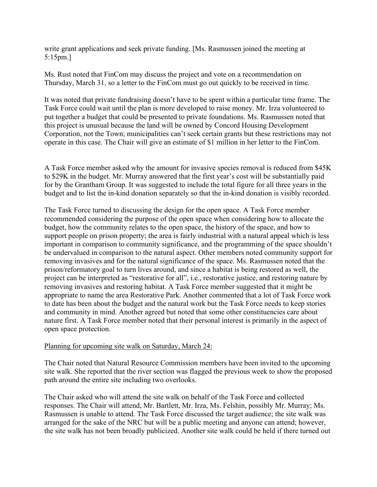write grant applications and seek private funding. [Ms. Rasmussen joined the meeting at 5:15pm.]

Ms. Rust noted that FinCom may discuss the project and vote on a recommendation on Thursday, March 31, so a letter to the FinCom must go out quickly to be received in time.

It was noted that private fundraising doesn't have to be spent within a particular time frame. The Task Force could wait until the plan is more developed to raise money. Mr. Irza volunteered to put together a budget that could be presented to private foundations. Ms. Rasmussen noted that this project is unusual because the land will be owned by Concord Housing Development Corporation, not the Town; municipalities can't seek certain grants but these restrictions may not operate in this case. The Chair will give an estimate of \$1 million in her letter to the FinCom.

A Task Force member asked why the amount for invasive species removal is reduced from \$45K to \$29K in the budget. Mr. Murray answered that the first year's cost will be substantially paid for by the Grantham Group. It was suggested to include the total figure for all three years in the budget and to list the in-kind donation separately so that the in-kind donation is visibly recorded.

The Task Force turned to discussing the design for the open space. A Task Force member recommended considering the purpose of the open space when considering how to allocate the budget, how the community relates to the open space, the history of the space, and how to support people on prison property; the area is fairly industrial with a natural appeal which is less important in comparison to community significance, and the programming of the space shouldn't be undervalued in comparison to the natural aspect. Other members noted community support for removing invasives and for the natural significance of the space. Ms. Rasmussen noted that the prison/reformatory goal to turn lives around, and since a habitat is being restored as well, the project can be interpreted as "restorative for all", i.e., restorative justice, and restoring nature by removing invasives and restoring habitat. A Task Force member suggested that it might be appropriate to name the area Restorative Park. Another commented that a lot of Task Force work to date has been about the budget and the natural work but the Task Force needs to keep stories and community in mind. Another agreed but noted that some other constituencies care about nature first. A Task Force member noted that their personal interest is primarily in the aspect of open space protection.

#### Planning for upcoming site walk on Saturday, March 24:

The Chair noted that Natural Resource Commission members have been invited to the upcoming site walk. She reported that the river section was flagged the previous week to show the proposed path around the entire site including two overlooks.

The Chair asked who will attend the site walk on behalf of the Task Force and collected responses. The Chair will attend, Mr. Bartlett, Mr. Irza, Ms. Felshin, possibly Mr. Murray; Ms. Rasmussen is unable to attend. The Task Force discussed the target audience; the site walk was arranged for the sake of the NRC but will be a public meeting and anyone can attend; however, the site walk has not been broadly publicized. Another site walk could be held if there turned out